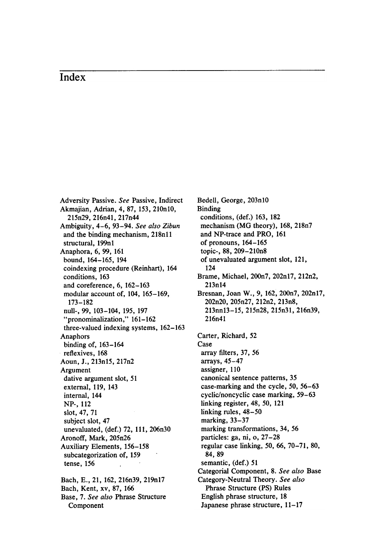Adversity Passive. See Passive, Indirect Akmajian, Adrian, 4, 87, 153, 210n10, 215n29 , 216n41 , 217n44 Ambiguity, 4-6, 93-94. See also Zibun and the binding mechanism, 218n11 structural, 199n1 Anaphora, 6, 99, 161 bound, 164-165, 194 coindexing procedure (Reinhart), 164 conditions, 163 and coreference, 6, 162-163 modular account of, 104, 165-169, 173 - 182 null-, 99, 103-104, 195, 197 " pronominalization," 161-162 three-valued indexing systems, 162-163 Anaphors binding of, 163-164 reflexives, 168 Aoun, J., 213n15, 217n2 Argument dative argument slot, 51 external, 119, 143 internal, 144 NP-, 112 slot, 47, 71 subject slot, 47 unevaluated, (def.) 72, 111, 206n30 Aronoff, Mark, 205n26 Auxiliary Elements, 156-158 subcategorization of, 159 tense, 156 Bach, E., 21, 162, 216n39, 219n17

Bach, Kent, xv, 87, 166 Base, 7. See also Phrase Structure Component

Bedell, George, 203nl0 Binding conditions, (def.) 163, 182 mechanism (MG theory), 168, 218n7 and NP-trace and PRO, 161 of pronouns, 164- 165 topic-, 88, 209-210n8 of unevaluated argument slot, 121, 124 Brame, Michael, 200n7, 202n17, 212n2, 213n14 Bresnan, Joan W., 9, 162, 200n7, 202n17, 202n20, 205n27, 212n2, 213n8, 213nnI3- 15, 215n28, 215n31, 216n39, 216n41 Carter, Richard, 52 Case array filters, 37, 56 arrays, 45- 47 assigner, 110 canonical sentence patterns, 35 case-marking and the cycle, 50, 56-63 cyclic/noncyclic case marking, 59–63 linking register, 48, 50, 121 linking rules, 48-50 marking, 33- 37 marking transformations, 34, 56 particles: ga, ni, o, 27-28 regular case linking, 50, 66, 70-71, 80, 84, 89 semantic, (def.) 51 Categorial Component, 8. See also Base Category-Neutral Theory. See also Phrase Structure (PS) Rules English phrase structure, 18 Japanese phrase structure, 11-17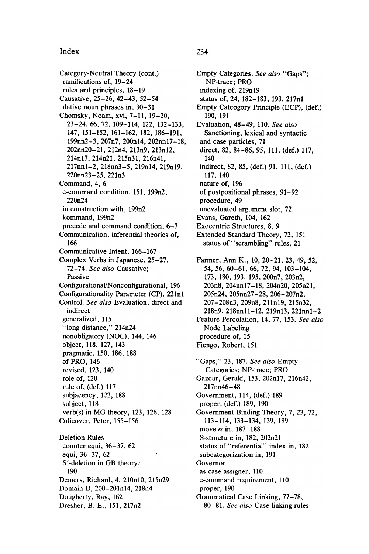Category-Neutral Theory (cont.) ramifications of, 19-24 rules and principles, 18-19 Causative, 25-26, 42-43, 52-54 dative noun phrases in, 30–31 Chomsky, Noam, xvi, 7-11, 19-20, 23 - 24 , 66 , 72 , 109 - 114 , 122 , 132 - 133 , 147, 151-152, 161-162, 182, 186-191, 199nn2-3, 207n7, 200n14, 202nn17-18, 202nn20-21, 212n4, 213n9, 213n12, 214n17, 214n21, 215n31, 216n41, 217nn1-2, 218nn3-5, 219n14, 219n19, 220nn23-25, 221n3 Command, 4, 6 c-command condition, 151, 199n2, 220n24 in construction with, 199n2 kommand, 199n2 precede and command condition, 6-7 Communication, inferential theories of, 166 Communicative Intent, 166-167 Complex Verbs in Japanese, 25-27, 72-74. See also Causative; Passive Configurational/Nonconfigurational, 196 Configurationality Parameter (CP), 221nl Control. See also Evaluation, direct and indirect generalized, 115 "long distance," 214n24 nonobligatory (NOC), 144, 146 object, 118, 127, 143 pragmatic , 150, 186, 188 of PRO, 146 revised, 123, 140 role of, 120 rule of, (def.) 117 subjacency, 122, 188 subject, 118 verb(s) in MG theory, 123, 126, 128 Culicover, Peter, 155-156 Deletion Rules counter equi, 36-37, 62 equi, 36-37, 62 S'-deletion in GB theory, 190 Demers, Richard, 4, 210n10, 215n29 Domain D, 200-201n14, 218n4 Dougherty, Ray, 162

Dresher, B. E., 151, 217n2

Empty Categories. See also "Gaps": NP-trace; PRO indexing of, 219n19 status of, 24, 182-183, 193, 217n1 Empty Cateogory Principle (ECP), (def.) 190 , 191 Evaluation, 48-49, 110. See also Sanctioning, lexical and syntactic and case particles, 71 direct, 82, 84-86, 95, 111, (def.) 117, 140 indirect, 82, 85, (def.) 91, 111, (def.) 117 , 140 nature of, 196 of postpositional phrases, 91-92 procedure, 49 unevaluated argument slot, 72 Evans, Gareth, 104, 162 Exocentric Structures, 8, 9 Extended Standard Theory, 72, 151 status of "scrambling" rules, 21 Farmer, Ann K., 10, 20-21, 23, 49, 52, 54, 56, 60-61, 66, 72, 94, 103-104,<br>173, 180, 193, 195, 200n7, 203n2, . . . *,* . . . *,* . . . *,* . . . *,* . . . . . . . . . . . 203n8, 204nn17-18, 204n20, 205n21, 205n24 . 205nn27 - 28 , 206 - 207n2 . 207 - 208n3 . 209n8 , 211n19 . 215n32 , 218n9, 218nn11-12, 219n13, 221nn1-2 Feature Percolation, 14, 77, 153. See also Node Labeling procedure of, 15 Fiengo, Robert, 151 "Gaps," 23, 187. See also Empty Categories; NP-trace; PRO Gazdar, Gerald, 153, 202n17, 216n42, 217nn46-48 Government, 114, (def.) 189 proper, (def.) 189, 190 Government Binding Theory, 7, 23, 72, 113 - 114 , 133 - 134 , 139 , 189 move  $\alpha$  in, 187–188 S-structure in, 182, 202n21 status of "referential" index in, 182 subcategorization in, 191 Governor as case assigner, 110 c-command requirement, 110 proper, 190 Grammatical Case Linking, 77-78,

80-81. See also Case linking rules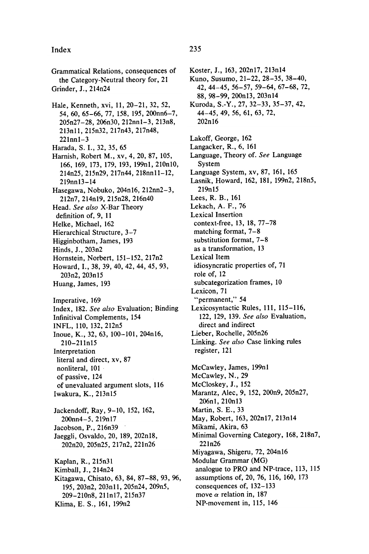Grammatical Relations, consequences of the Category-Neutral theory for, 21 Grinder, J., 214n24 Hale, Kenneth, xvi, 11, 20-21, 32, 52, 54, 60, 65-66, 77, 158, 195, 200nn6-7, 205n27-28, 206n30, 212nn1-3, 213n8, 213n11, 215n32, 217n43, 217n48,  $221nn1 - 3$ Harada, S. I., 32, 35, 65 Harnish, Robert M., xv, 4, 20, 87, 105, 166, 169, 173, 179, 193, 199n1, 210n10, 214n25 , 215n29 , 217n44 , 218nnll - 12 , 219nn13 - 14 Hasegawa, Nobuko, 204n16, 212nn2-3, 212n7 , 214n19 , 215n28 , 216n40 Head. See also X-Bar Theory definition of, 9, 11 Helke, Michael, 162 Hierarchical Structure, 3-7 Higginbotham, James, 193 Hinds, J., 203n2 Hornstein, Norbert, 151-152, 217n2 Howard, I., 38, 39, 40, 42, 44, 45, 93, 203n2, 203n15 Huang, James, 193 Imperative, 169 Index, 182. See also Evaluation; Binding Infinitival Complements, 154 INFL, 110, 132, 212n5 Inoue, K., 32, 63, 100-101, 204n16, 210 - 211n15 Interpretation literal and direct, xv, 87 nonliteral, 101 of passive, 124 of unevaluated argument slots, 116 Iwakura, K., 213n15 Jackendoff, Ray, 9-10, 152, 162, 200nn4-5, 219n17 Jacobson, P., 216n39 Jaeggli, Osvaldo, 20, 189, 202n18, 202n20 . 205n25 . 217n2 . 221n26 Kaplan, R., 215n31 Kimball, J., 214n24 Kitagawa, Chisato, 63, 84, 87–88, 93, 96, 195 , 203n2 , 203nll , 205n24 , 209n5 , 209 - 210n8 , 211n17 , 215n37 Klima, E. S., 161, 199n2

Koster, J., 163, 202n17, 213n14 Kuno, Susumo, 21-22, 28-35, 38-40, 42 , 44 - 45 , 56 - 57 , 59 - 64 , 67 - 68 , 72 , 88 , 98 - 99 , 200n13 , 203n14 Kuroda, S.-Y., 27, 32-33, 35-37, 42, 44 - 45 , 49 , 56 , 61 , 63 , 72 , 202n16 Lakoff, George, 162 Langacker, R., 6, 161 Language, Theory of. See Language System Language System, xv, 87, 161, 165 Lasnik, Howard, 162, 181, 199n2, 218n5, 219n15 Lees, R. B., 161 Lekach, A. F., 76 Lexical Insertion context-free, 13, 18, 77-78 matching format,  $7-8$ substitution format,  $7-8$ as a transformation, 13 Lexical Item idiosyncratic properties of, 71 role of, 12 subcategorization frames, 10 Lexicon, 71 " permanent," 54 Lexicosyntactic Rules, 111, 115-116, 122, 129, 139. See also Evaluation, direct and indirect Lieber, Rochelle, 205n26 Linking. See also Case linking rules register, 121 McCawley, James, 199n1 McCawley, N., 29 McCloskey, J., 152 Marantz, Alec, 9, 152, 200n9, 205n27, 206nl , 210nI3 Martin, S. E., 33 May, Robert, 163, 202n17, 213n14 Mikami, Akira, 63 Minimal Governing Category, 168, 218n7, 221n26 Miyagawa, Shigeru, 72, 204n16 Modular Grammar (MG) analogue to PRO and NP-trace, 113, 115 assumptions of, 20, 76, 116, 160, 173 consequences of, 132-133 move  $\alpha$  relation in, 187 NP-movement in, 115, 146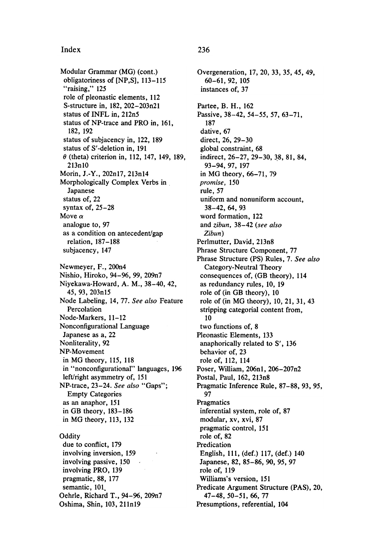Modular Grammar (MG) (cont.) obligatoriness of [NP,S], 113-115 "raising," 125 role of pleonastic elements, 112 S-structure in, 182, 202-203n21 status of INFL in, 212n5 status of NP-trace and PRO in, 161, 182, 192 status of subjacency in, 122, 189 status of S'-deletion in. 191  $\theta$  (theta) criterion in, 112, 147, 149, 189,  $213n10$ Morin, J.-Y., 202n17, 213n14 Morphologically Complex Verbs in Japanese status of, 22 syntax of,  $25-28$ Move  $\alpha$ analogue to, 97 as a condition on antecedent/gap relation, 187-188 subjacency, 147 Newmeyer, F., 200n4 Nishio, Hiroko, 94-96, 99, 209n7 Niyekawa-Howard, A. M., 38-40, 42, 45, 93, 203n15 Node Labeling, 14, 77. See also Feature Percolation Node-Markers, 11-12 Nonconfigurational Language Japanese as a, 22 Nonliterality, 92 NP-Movement in MG theory, 115, 118 in "nonconfigurational" languages, 196 left/right asymmetry of, 151 NP-trace, 23-24. See also "Gaps"; **Empty Categories** as an anaphor, 151 in GB theory,  $183-186$ in MG theory, 113, 132 Oddity due to conflict, 179 involving inversion, 159 involving passive, 150 involving PRO, 139 pragmatic, 88, 177 semantic, 101 Oehrle, Richard T., 94-96, 209n7 Oshima, Shin, 103, 211n19

### 236

Overgeneration, 17, 20, 33, 35, 45, 49,  $60 - 61, 92, 105$ instances of, 37 Partee, B. H., 162 Passive, 38-42, 54-55, 57, 63-71. 187 dative, 67 direct, 26, 29-30 global constraint, 68 indirect, 26-27, 29-30, 38, 81, 84, 93-94, 97, 197 in MG theory, 66-71, 79 promise, 150 rule, 57 uniform and nonuniform account.  $38-42, 64, 93$ word formation, 122 and zibun, 38-42 (see also Zibun) Perlmutter, David, 213n8 Phrase Structure Component, 77 Phrase Structure (PS) Rules, 7. See also Category-Neutral Theory consequences of, (GB theory), 114 as redundancy rules, 10, 19 role of (in GB theory), 10 role of (in MG theory), 10, 21, 31, 43 stripping categorial content from, 10 two functions of, 8 Pleonastic Elements, 133 anaphorically related to S', 136 behavior of, 23 role of, 112, 114 Poser, William, 206n1, 206-207n2 Postal, Paul, 162, 213n8 Pragmatic Inference Rule, 87-88, 93, 95, 97 Pragmatics inferential system, role of, 87 modular, xv, xvi, 87 pragmatic control, 151 role of, 82 Predication English, 111, (def.) 117, (def.) 140 Japanese, 82, 85-86, 90, 95, 97 role of, 119 Williams's version, 151 Predicate Argument Structure (PAS), 20, 47-48, 50-51, 66, 77 Presumptions, referential, 104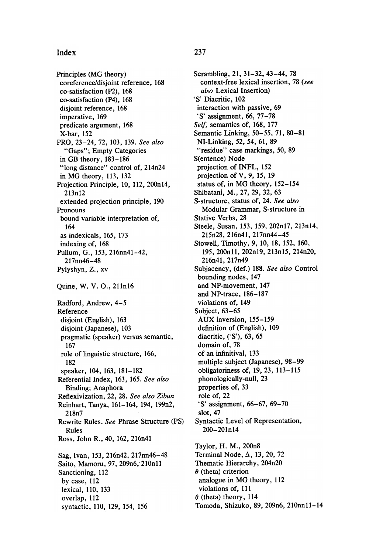Principles (MG theory) coreference/disjoint reference, 168 co-satisfaction (P2), 168 co-satisfaction (P4), 168 disjoint reference, 168 imperative, 169 predicate argument, 168 X-bar, 152 PRO, 23-24, 72, 103, 139. See also "Gaps": Empty Categories in GB theory, 183-186 "long distance" control of, 214n24 in MG theory, 113, 132 Projection Principle, 10, 112, 200n14, 213n12 extended projection principle, 190 Pronouns bound variable interpretation of, 164 as indexicals, 165, 173 indexing of, 168 Pullum, G., 153, 216nn41-42, 217nn46 - 48 Pylyshyn, Z., xv Quine, W. V. O., 211n16 Radford, Andrew,  $4-5$ Reference disjoint (English), 163 disjoint (Japanese), 103 pragmatic (speaker) versus semantic, 167 role of linguistic structure, 166, 182 speaker, 104, 163, 181-182 Referential Index, 163, 165. See also Binding; Anaphora Reflexivization, 22, 28. See also Zibun Reinhart, Tanya, 161-164, 194, 199n2, 218n7 Rewrite Rules. See Phrase Structure (PS) Rules Ross, John R., 40, 162, 216n41 Sag, Ivan, 153, 216n42, 217nn46-48 Saito, Mamoru, 97, 209n6, 210n11 Sanctioning, 112 by case, 112 lexical, 110, 133 overlap, 112 syntactic, 110, 129, 154, 156

Scrambling, 21, 31-32, 43-44, 78 context-free lexical insertion, 78 (see also Lexical Insertion)  $\sigma$  Diacritic,  $102$ interaction with passive, 69 'S' assignment, 66, 77–78 Self, semantics of, 168, 177 Semantic Linking, 50–55, 71, 80–81 NI-Linking, 52, 54, 61, 89 " residue" case markings, 50, 89 S(entence) Node projection of INFL, 152 projection of  $V$ , 9, 15, 19 status of, in MG theory, 152-154 Shibatani, M., 27, 29, 32, 63 S-structure, status of, 24. See also Modular Grammar, S-structure in Stative Verbs, 28 Steele, Susan, 153, 159, 202n17, 213n14, 215n28 , 216n41 , 217nn44 - 45 Stowell, Timothy, 9, 10, 18, 152, 160, 195 , 200nll , 202n19 , 213n15 , 214n20 , 216n41, 217n49 Subjacency, (def.) 188. See also Control bounding nodes, 147 and NP-movement, 147 and NP-trace, 186-187 violations of, 149 Subject, 63-65 Aux inversion , 155- 159 definition of (English), 109 diacritic , ('S'), 63, 65 domain of, 78 of an infinitival, 133 multiple subject (Japanese), 98-99 obligatoriness of, 19, 23, 113-115 phonologically-null, 23 properties of, 33 role of, 22  $S'$  assignment,  $66 - 67$ ,  $69 - 70$ slot, 47 Syntactic Level of Representation, 200 - 201nI4 Taylor, H. M., 200n8 Terminal Node,  $\Delta$ , 13, 20, 72 Thematic Hierarchy, 204n20  $\theta$  (theta) criterion analogue in MG theory, 112 violations of, 111  $\theta$  (theta) theory, 114 Tomoda, Shizuko, 89, 209n6, 210nn11-14